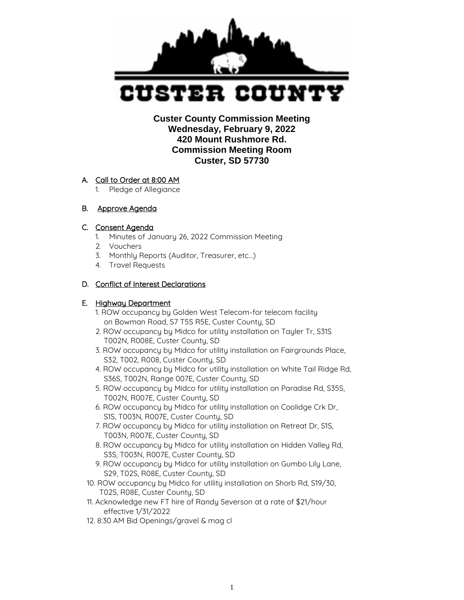

 **Custer County Commission Meeting Wednesday, February 9, 2022 420 Mount Rushmore Rd. Commission Meeting Room Custer, SD 57730** 

# A. Call to Order at 8:00 AM

1. Pledge of Allegiance

# B. Approve Agenda

# C. Consent Agenda

- 1. Minutes of January 26, 2022 Commission Meeting
- 2. Vouchers
- 3. Monthly Reports (Auditor, Treasurer, etc…)
- 4. Travel Requests

# D. Conflict of Interest Declarations

# E. Highway Department

- 1. ROW occupancy by Golden West Telecom-for telecom facility on Bowman Road, S7 T5S R5E, Custer County, SD
- 2. ROW occupancy by Midco for utility installation on Tayler Tr, S31S T002N, R008E, Custer County, SD
- 3. ROW occupancy by Midco for utility installation on Fairgrounds Place, S32, T002, R008, Custer County, SD
- 4. ROW occupancy by Midco for utility installation on White Tail Ridge Rd, S36S, T002N, Range 007E, Custer County, SD
- 5. ROW occupancy by Midco for utility installation on Paradise Rd, S35S, T002N, R007E, Custer County, SD
- 6. ROW occupancy by Midco for utility installation on Coolidge Crk Dr, S1S, T003N, R007E, Custer County, SD
- 7. ROW occupancy by Midco for utility installation on Retreat Dr, S1S, T003N, R007E, Custer County, SD
- 8. ROW occupancy by Midco for utility installation on Hidden Valley Rd, S3S, T003N, R007E, Custer County, SD
- 9. ROW occupancy by Midco for utility installation on Gumbo Lily Lane, S29, T02S, R08E, Custer County, SD
- 10. ROW occupancy by Midco for utility installation on Shorb Rd, S19/30, T02S, R08E, Custer County, SD
- 11. Acknowledge new FT hire of Randy Severson at a rate of \$21/hour effective 1/31/2022
- 12. 8:30 AM Bid Openings/gravel & mag cl